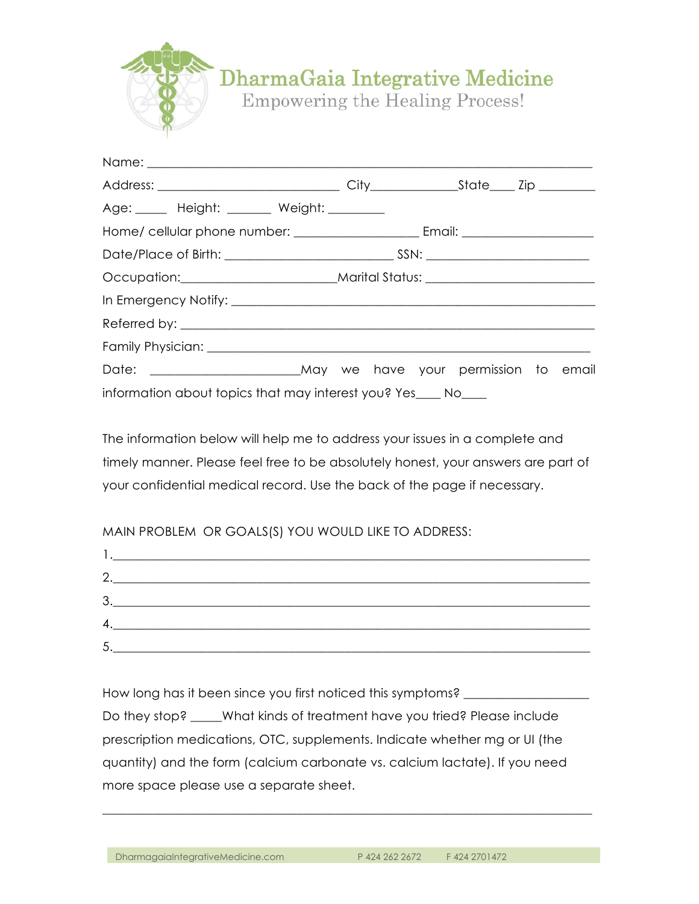

| Age: _____ Height: ______ Weight: _______                               |  |  |  |
|-------------------------------------------------------------------------|--|--|--|
|                                                                         |  |  |  |
|                                                                         |  |  |  |
|                                                                         |  |  |  |
|                                                                         |  |  |  |
|                                                                         |  |  |  |
|                                                                         |  |  |  |
| Date: _____________________________May we have your permission to email |  |  |  |
| information about topics that may interest you? Yes ____ No____         |  |  |  |

The information below will help me to address your issues in a complete and timely manner. Please feel free to be absolutely honest, your answers are part of your confidential medical record. Use the back of the page if necessary.

MAIN PROBLEM OR GOALS(S) YOU WOULD LIKE TO ADDRESS:

|    | $\mathbf{I}$ , and the contract of the contract of the contract of the contract of the contract of the contract of the contract of the contract of the contract of the contract of the contract of the contract of the contract o |  |  |
|----|-----------------------------------------------------------------------------------------------------------------------------------------------------------------------------------------------------------------------------------|--|--|
|    | 2.                                                                                                                                                                                                                                |  |  |
| 3. |                                                                                                                                                                                                                                   |  |  |
| 4  |                                                                                                                                                                                                                                   |  |  |
|    |                                                                                                                                                                                                                                   |  |  |
| 5. | <u> 1980 - Andrea Andrew Maria (h. 1980).</u>                                                                                                                                                                                     |  |  |

How long has it been since you first noticed this symptoms? \_\_\_\_\_\_\_\_\_\_\_\_\_\_\_\_\_\_\_\_

Do they stop? \_\_\_\_\_What kinds of treatment have you tried? Please include prescription medications, OTC, supplements. Indicate whether mg or UI (the quantity) and the form (calcium carbonate vs. calcium lactate). If you need more space please use a separate sheet.

\_\_\_\_\_\_\_\_\_\_\_\_\_\_\_\_\_\_\_\_\_\_\_\_\_\_\_\_\_\_\_\_\_\_\_\_\_\_\_\_\_\_\_\_\_\_\_\_\_\_\_\_\_\_\_\_\_\_\_\_\_\_\_\_\_\_\_\_\_\_\_\_\_\_\_\_\_\_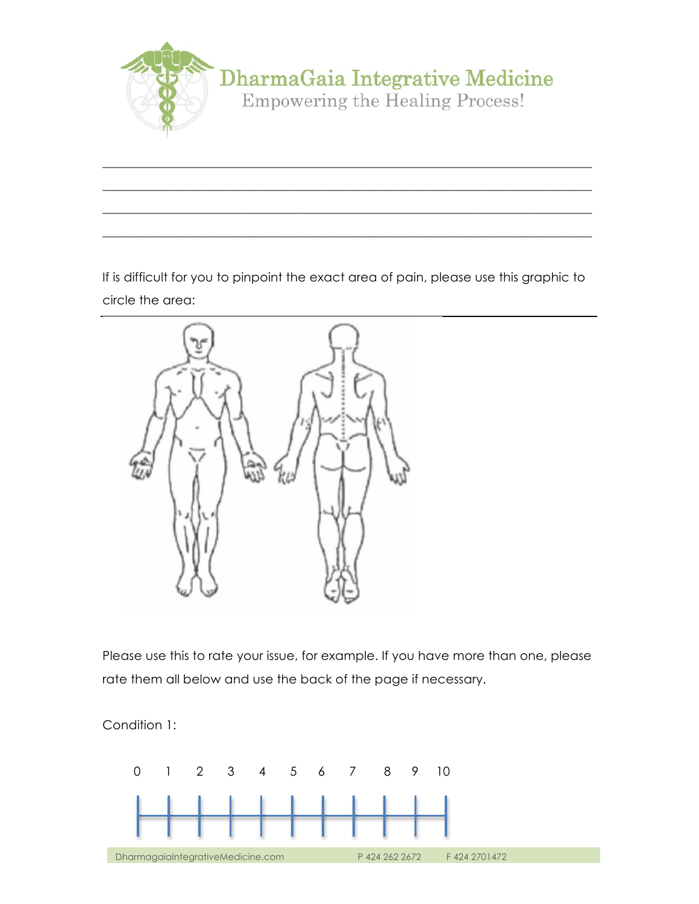

\_\_\_\_\_\_\_\_\_\_\_\_\_\_\_\_\_\_\_\_\_\_\_\_\_\_\_\_\_\_\_\_\_\_\_\_\_\_\_\_\_\_\_\_\_\_\_\_\_\_\_\_\_\_\_\_\_\_\_\_\_\_\_\_\_\_\_\_\_\_\_\_\_\_\_\_\_\_

\_\_\_\_\_\_\_\_\_\_\_\_\_\_\_\_\_\_\_\_\_\_\_\_\_\_\_\_\_\_\_\_\_\_\_\_\_\_\_\_\_\_\_\_\_\_\_\_\_\_\_\_\_\_\_\_\_\_\_\_\_\_\_\_\_\_\_\_\_\_\_\_\_\_\_\_\_\_

 $\_$  , and the set of the set of the set of the set of the set of the set of the set of the set of the set of the set of the set of the set of the set of the set of the set of the set of the set of the set of the set of th

\_\_\_\_\_\_\_\_\_\_\_\_\_\_\_\_\_\_\_\_\_\_\_\_\_\_\_\_\_\_\_\_\_\_\_\_\_\_\_\_\_\_\_\_\_\_\_\_\_\_\_\_\_\_\_\_\_\_\_\_\_\_\_\_\_\_\_\_\_\_\_\_\_\_\_\_\_\_

If is difficult for you to pinpoint the exact area of pain, please use this graphic to circle the area:



Please use this to rate your issue, for example. If you have more than one, please rate them all below and use the back of the page if necessary.



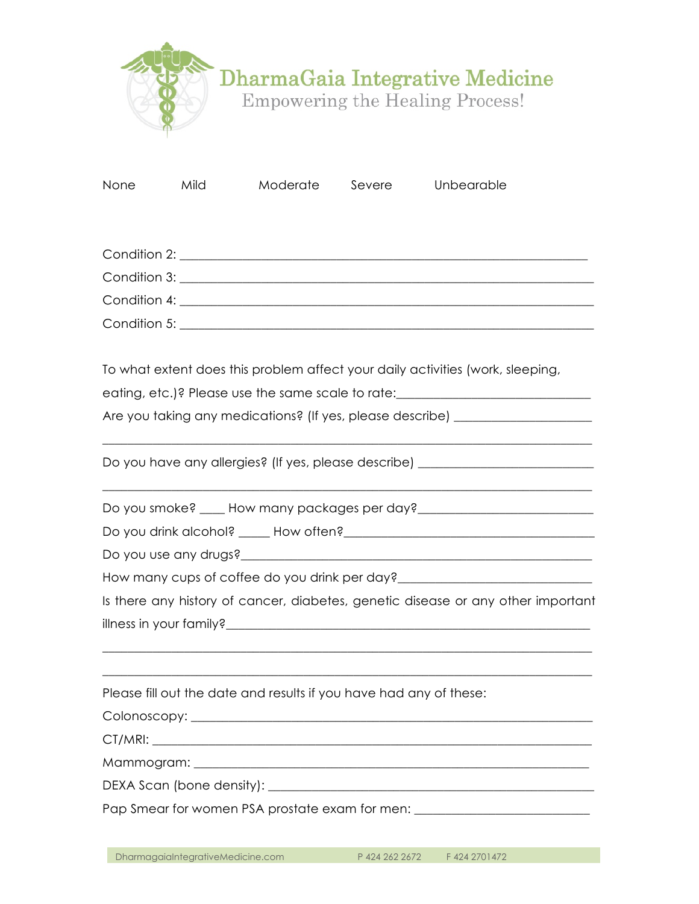

| None                                                                             | Mild | Moderate                                                           | Severe | Unbearable                                                                       |
|----------------------------------------------------------------------------------|------|--------------------------------------------------------------------|--------|----------------------------------------------------------------------------------|
|                                                                                  |      |                                                                    |        |                                                                                  |
|                                                                                  |      |                                                                    |        |                                                                                  |
|                                                                                  |      |                                                                    |        |                                                                                  |
|                                                                                  |      |                                                                    |        |                                                                                  |
|                                                                                  |      |                                                                    |        |                                                                                  |
|                                                                                  |      |                                                                    |        | To what extent does this problem affect your daily activities (work, sleeping,   |
|                                                                                  |      |                                                                    |        | eating, etc.)? Please use the same scale to rate:_______________________________ |
|                                                                                  |      |                                                                    |        | Are you taking any medications? (If yes, please describe) ______________________ |
|                                                                                  |      |                                                                    |        | Do you have any allergies? (If yes, please describe) ___________________________ |
|                                                                                  |      |                                                                    |        | Do you smoke? ____ How many packages per day?_____________________________       |
|                                                                                  |      |                                                                    |        |                                                                                  |
|                                                                                  |      |                                                                    |        |                                                                                  |
|                                                                                  |      |                                                                    |        | How many cups of coffee do you drink per day?___________________________________ |
| Is there any history of cancer, diabetes, genetic disease or any other important |      |                                                                    |        |                                                                                  |
|                                                                                  |      |                                                                    |        |                                                                                  |
|                                                                                  |      |                                                                    |        |                                                                                  |
|                                                                                  |      | Please fill out the date and results if you have had any of these: |        |                                                                                  |
|                                                                                  |      |                                                                    |        |                                                                                  |
|                                                                                  |      |                                                                    |        |                                                                                  |
|                                                                                  |      |                                                                    |        |                                                                                  |
|                                                                                  |      |                                                                    |        |                                                                                  |
|                                                                                  |      |                                                                    |        | Pap Smear for women PSA prostate exam for men: _________________________________ |
|                                                                                  |      |                                                                    |        |                                                                                  |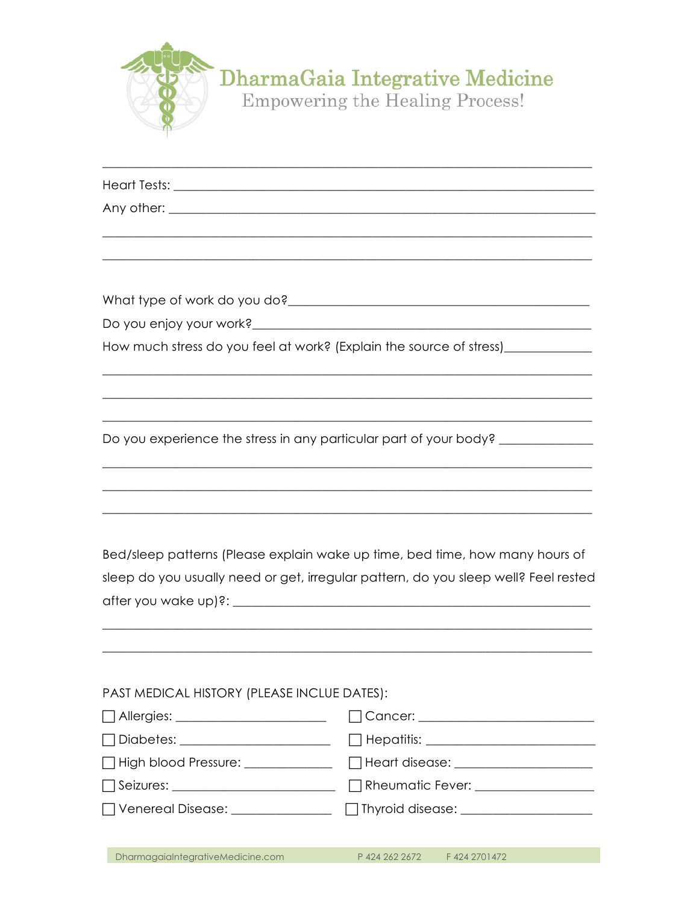

| How much stress do you feel at work? (Explain the source of stress)_____________    |
|-------------------------------------------------------------------------------------|
|                                                                                     |
| Do you experience the stress in any particular part of your body? ______________    |
|                                                                                     |
|                                                                                     |
| Bed/sleep patterns (Please explain wake up time, bed time, how many hours of        |
| sleep do you usually need or get, irregular pattern, do you sleep well? Feel rested |
|                                                                                     |

## PAST MEDICAL HISTORY (PLEASE INCLUE DATES):

| □ Allergies: _________________________ | □ Cancer: <u>_______________________</u>                                        |
|----------------------------------------|---------------------------------------------------------------------------------|
| □ Diabetes: _______________________    |                                                                                 |
| $\Box$ High blood Pressure: $\Box$     | $\Box$ Heart disease: $\_\_$                                                    |
|                                        | $\Box$ Rheumatic Fever: $\_\_\_\_\_\_\_\_\_\_\_\_\_\_\_\_\_\_\_\_\_$            |
|                                        | □ Venereal Disease: ______________________ □ Thyroid disease: _________________ |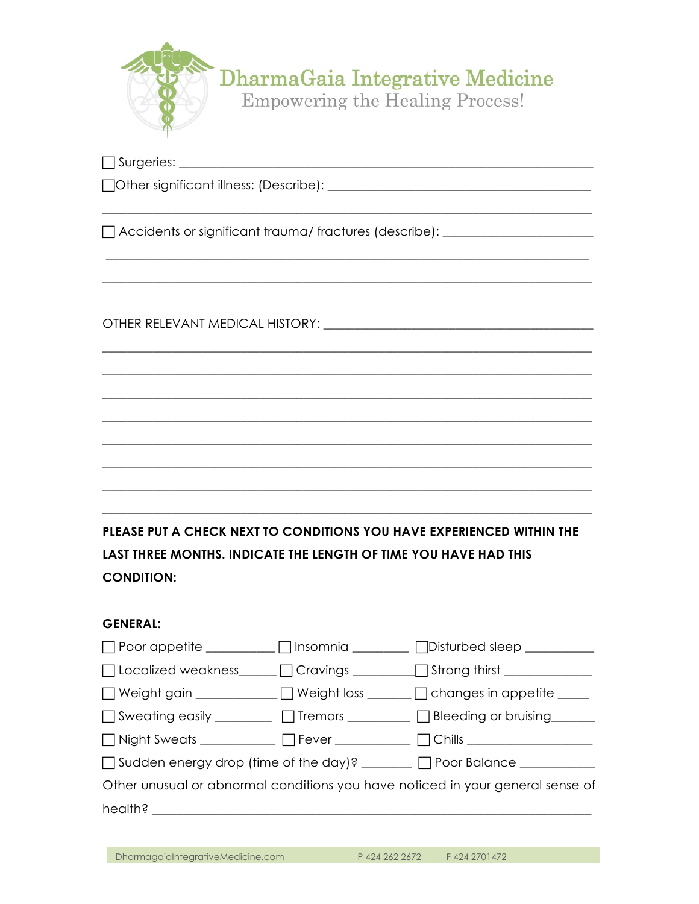

 $\_$  , and the set of the set of the set of the set of the set of the set of the set of the set of the set of the set of the set of the set of the set of the set of the set of the set of the set of the set of the set of th

\_\_\_\_\_\_\_\_\_\_\_\_\_\_\_\_\_\_\_\_\_\_\_\_\_\_\_\_\_\_\_\_\_\_\_\_\_\_\_\_\_\_\_\_\_\_\_\_\_\_\_\_\_\_\_\_\_\_\_\_\_\_\_\_\_\_\_\_\_\_\_\_\_\_\_\_\_

\_\_\_\_\_\_\_\_\_\_\_\_\_\_\_\_\_\_\_\_\_\_\_\_\_\_\_\_\_\_\_\_\_\_\_\_\_\_\_\_\_\_\_\_\_\_\_\_\_\_\_\_\_\_\_\_\_\_\_\_\_\_\_\_\_\_\_\_\_\_\_\_\_\_\_\_\_\_

\_\_\_\_\_\_\_\_\_\_\_\_\_\_\_\_\_\_\_\_\_\_\_\_\_\_\_\_\_\_\_\_\_\_\_\_\_\_\_\_\_\_\_\_\_\_\_\_\_\_\_\_\_\_\_\_\_\_\_\_\_\_\_\_\_\_\_\_\_\_\_\_\_\_\_\_\_\_

\_\_\_\_\_\_\_\_\_\_\_\_\_\_\_\_\_\_\_\_\_\_\_\_\_\_\_\_\_\_\_\_\_\_\_\_\_\_\_\_\_\_\_\_\_\_\_\_\_\_\_\_\_\_\_\_\_\_\_\_\_\_\_\_\_\_\_\_\_\_\_\_\_\_\_\_\_\_

 $\_$  , and the set of the set of the set of the set of the set of the set of the set of the set of the set of the set of the set of the set of the set of the set of the set of the set of the set of the set of the set of th

\_\_\_\_\_\_\_\_\_\_\_\_\_\_\_\_\_\_\_\_\_\_\_\_\_\_\_\_\_\_\_\_\_\_\_\_\_\_\_\_\_\_\_\_\_\_\_\_\_\_\_\_\_\_\_\_\_\_\_\_\_\_\_\_\_\_\_\_\_\_\_\_\_\_\_\_\_\_

\_\_\_\_\_\_\_\_\_\_\_\_\_\_\_\_\_\_\_\_\_\_\_\_\_\_\_\_\_\_\_\_\_\_\_\_\_\_\_\_\_\_\_\_\_\_\_\_\_\_\_\_\_\_\_\_\_\_\_\_\_\_\_\_\_\_\_\_\_\_\_\_\_\_\_\_\_\_

\_\_\_\_\_\_\_\_\_\_\_\_\_\_\_\_\_\_\_\_\_\_\_\_\_\_\_\_\_\_\_\_\_\_\_\_\_\_\_\_\_\_\_\_\_\_\_\_\_\_\_\_\_\_\_\_\_\_\_\_\_\_\_\_\_\_\_\_\_\_\_\_\_\_\_\_\_\_

\_\_\_\_\_\_\_\_\_\_\_\_\_\_\_\_\_\_\_\_\_\_\_\_\_\_\_\_\_\_\_\_\_\_\_\_\_\_\_\_\_\_\_\_\_\_\_\_\_\_\_\_\_\_\_\_\_\_\_\_\_\_\_\_\_\_\_\_\_\_\_\_\_\_\_\_\_\_

\_\_\_\_\_\_\_\_\_\_\_\_\_\_\_\_\_\_\_\_\_\_\_\_\_\_\_\_\_\_\_\_\_\_\_\_\_\_\_\_\_\_\_\_\_\_\_\_\_\_\_\_\_\_\_\_\_\_\_\_\_\_\_\_\_\_\_\_\_\_\_\_\_\_\_\_\_\_

Surgeries: \_\_\_\_\_\_\_\_\_\_\_\_\_\_\_\_\_\_\_\_\_\_\_\_\_\_\_\_\_\_\_\_\_\_\_\_\_\_\_\_\_\_\_\_\_\_\_\_\_\_\_\_\_\_\_\_\_\_\_\_\_\_\_\_\_\_

Other significant illness: (Describe): \_\_\_\_\_\_\_\_\_\_\_\_\_\_\_\_\_\_\_\_\_\_\_\_\_\_\_\_\_\_\_\_\_\_\_\_\_\_\_\_\_\_

Accidents or significant trauma/ fractures (describe): \_\_\_\_\_\_\_\_\_\_\_\_\_\_\_\_\_\_\_\_\_\_\_\_

OTHER RELEVANT MEDICAL HISTORY: \_\_\_\_\_\_\_\_\_\_\_\_\_\_\_\_\_\_\_\_\_\_\_\_\_\_\_\_\_\_\_\_\_\_\_\_\_\_\_\_\_\_\_

**PLEASE PUT A CHECK NEXT TO CONDITIONS YOU HAVE EXPERIENCED WITHIN THE LAST THREE MONTHS. INDICATE THE LENGTH OF TIME YOU HAVE HAD THIS CONDITION:**

#### **GENERAL:**

|  | □ Poor appetite __________ □ Insomnia ________ □ Disturbed sleep ________               |
|--|-----------------------------------------------------------------------------------------|
|  | □Localized weakness<br>□Cravings<br>□Strong thirst<br>□                                 |
|  | □ Weight gain ___________ □ Weight loss ______ □ changes in appetite ____               |
|  | □ Sweating easily <u>__________</u> □ Tremors _________ □ Bleeding or bruising ______   |
|  | $\Box$ Night Sweats ____________ $\Box$ Fever __________ $\Box$ Chills ________________ |
|  |                                                                                         |
|  | Other unusual or abnormal conditions you have noticed in your general sense of          |
|  |                                                                                         |
|  |                                                                                         |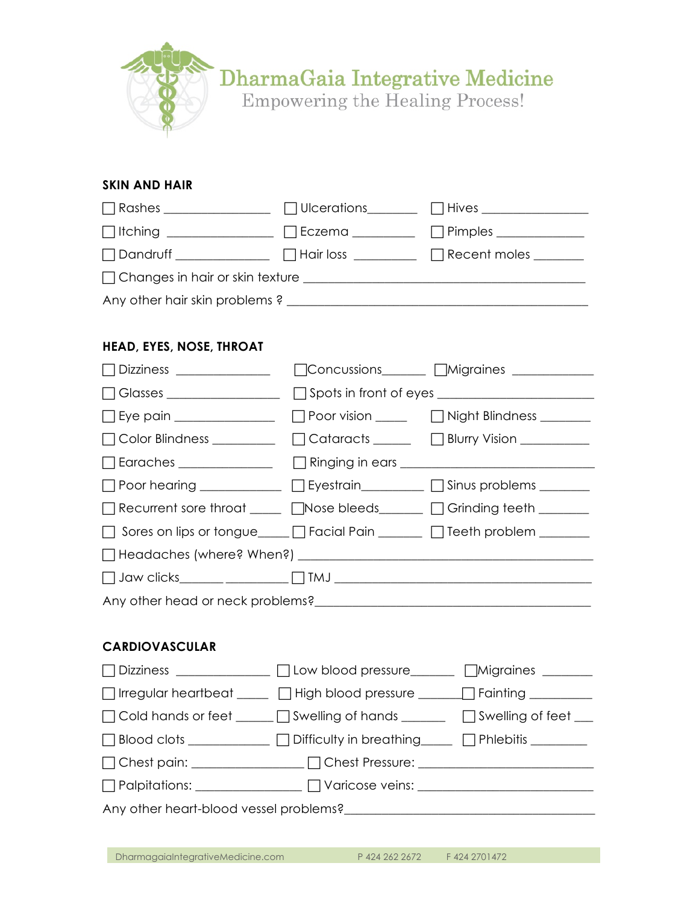| DharmaGaia Integrative Medicine        |
|----------------------------------------|
| <b>Empowering the Healing Process!</b> |

#### **SKIN AND HAIR**

| □ Rashes ______________________ □ Ulcerations_________ □ Hives ________________ |                                                                                                                                                                                                     |
|---------------------------------------------------------------------------------|-----------------------------------------------------------------------------------------------------------------------------------------------------------------------------------------------------|
|                                                                                 | Itching $\begin{array}{ccc}\nI = & I \cup \cup\n\end{array}$ $\Box$ Eczema $\begin{array}{ccc}\nI = & I \cup \cup\n\end{array}$ $\Box$ Pimples $\begin{array}{ccc}\nI = & I \cup \cup\n\end{array}$ |
| □ Dandruff _______________ □ Hair loss _________ □ Recent moles _______         |                                                                                                                                                                                                     |
|                                                                                 |                                                                                                                                                                                                     |
|                                                                                 |                                                                                                                                                                                                     |
|                                                                                 |                                                                                                                                                                                                     |
| <b>HEAD, EYES, NOSE, THROAT</b>                                                 |                                                                                                                                                                                                     |
| $\Box$ Dizziness _______________                                                | □Concussions<br>□Migraines<br>□Migraines                                                                                                                                                            |
|                                                                                 | $\Box$ Spots in front of eyes $\_\_\_\_\_\_\_\_\_\_\_\_\_\_\_\_\_\_\_\_\_\_\_$                                                                                                                      |
| □ Eye pain ________________                                                     | $\Box$ Poor vision $\Box$ $\Box$ Night Blindness $\Box$                                                                                                                                             |
| $\Box$ Color Blindness __________                                               | □ Cataracts ______ □ Blurry Vision ________                                                                                                                                                         |
|                                                                                 |                                                                                                                                                                                                     |
| □ Poor hearing ____________ □ Eyestrain________ □ Sinus problems ______         |                                                                                                                                                                                                     |
|                                                                                 | The Recurrent sore throat _____ Those bleeds______ Torinding teeth ______                                                                                                                           |
| □ Sores on lips or tongue <u>[</u> Facial Pain   Teeth problem   Teeth problem  |                                                                                                                                                                                                     |
|                                                                                 |                                                                                                                                                                                                     |
|                                                                                 |                                                                                                                                                                                                     |
|                                                                                 |                                                                                                                                                                                                     |
|                                                                                 |                                                                                                                                                                                                     |
| <b>CARDIOVASCULAR</b>                                                           |                                                                                                                                                                                                     |
|                                                                                 | 7 Dizziness ______________ □ Low blood pressure_______ □ Migraines _______                                                                                                                          |
| □ Irregular heartbeat<br>□ High blood pressure<br>□ Fainting<br>□ Tainting      |                                                                                                                                                                                                     |
|                                                                                 | ◯ Cold hands or feet _____ ◯ Swelling of hands _______ ◯ Swelling of feet ___                                                                                                                       |
|                                                                                 | 7 Blood clots _____________ ∩ Difficulty in breathing_____ ∩ Phlebitis _______                                                                                                                      |
|                                                                                 | □ Chest pain: _______________ □ Chest Pressure: _______________________________                                                                                                                     |

 Palpitations: \_\_\_\_\_\_\_\_\_\_\_\_\_\_\_\_\_ Varicose veins: \_\_\_\_\_\_\_\_\_\_\_\_\_\_\_\_\_\_\_\_\_\_\_\_\_\_\_\_ Any other heart-blood vessel problems?\_\_\_\_\_\_\_\_\_\_\_\_\_\_\_\_\_\_\_\_\_\_\_\_\_\_\_\_\_\_\_\_\_\_\_\_\_\_\_\_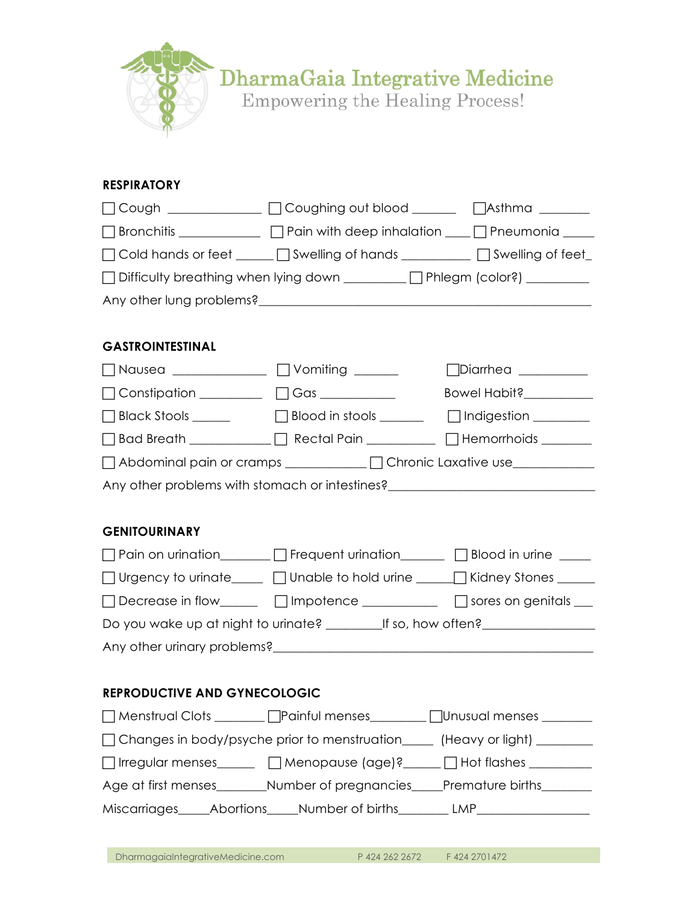

#### **RESPIRATORY**

|                          | $\bigcap$ Cold hands or feet ______ $\bigcap$ Swelling of hands __________ $\bigcap$ Swelling of feet_ |  |
|--------------------------|--------------------------------------------------------------------------------------------------------|--|
|                          | □ Difficulty breathing when lying down _________ □ Phlegm (color?) ________                            |  |
| Any other lung problems? |                                                                                                        |  |

#### **GASTROINTESTINAL**

| □ Nausea ______________ □ Vomiting ______          |                               |                           |  |
|----------------------------------------------------|-------------------------------|---------------------------|--|
| $\Box$ Constipation $\_\_\_\_\_\_\_\_\_\_\_\_\_\_$ | □ Gas ____________            | Bowel Habit?__________    |  |
| $\Box$ Black Stools $\_\_\_\_\_\_\_\_\$            | $\Box$ Blood in stools $\_\_$ | $\Box$ Indigestion $\Box$ |  |
|                                                    |                               |                           |  |
|                                                    |                               |                           |  |
| Any other problems with stomach or intestines?     |                               |                           |  |

#### **GENITOURINARY**

|                             | $\Box$ Pain on urination $\Box$ $\Box$ Frequent urination $\Box$ $\Box$ Blood in urine $\Box$ |                                 |  |
|-----------------------------|-----------------------------------------------------------------------------------------------|---------------------------------|--|
|                             |                                                                                               |                                 |  |
|                             | □ Decrease in flow_______ □ Impotence __________                                              | $\Box$ sores on genitals $\Box$ |  |
|                             | Do you wake up at night to urinate? __________ If so, how often? _______________              |                                 |  |
| Any other urinary problems? |                                                                                               |                                 |  |

#### **REPRODUCTIVE AND GYNECOLOGIC**

| □ Menstrual Clots _________ □ Painful menses ________ □ Unusual menses ________  |  |
|----------------------------------------------------------------------------------|--|
| □ Changes in body/psyche prior to menstruation ______ (Heavy or light) ________  |  |
| $\Box$ Irregular menses $\Box$ $\Box$ Menopause (age)? $\Box$ $\Box$ Hot flashes |  |
| Age at first menses Mumber of pregnancies Premature births                       |  |
| Miscarriages______Abortions_____Number of births_________LMP_                    |  |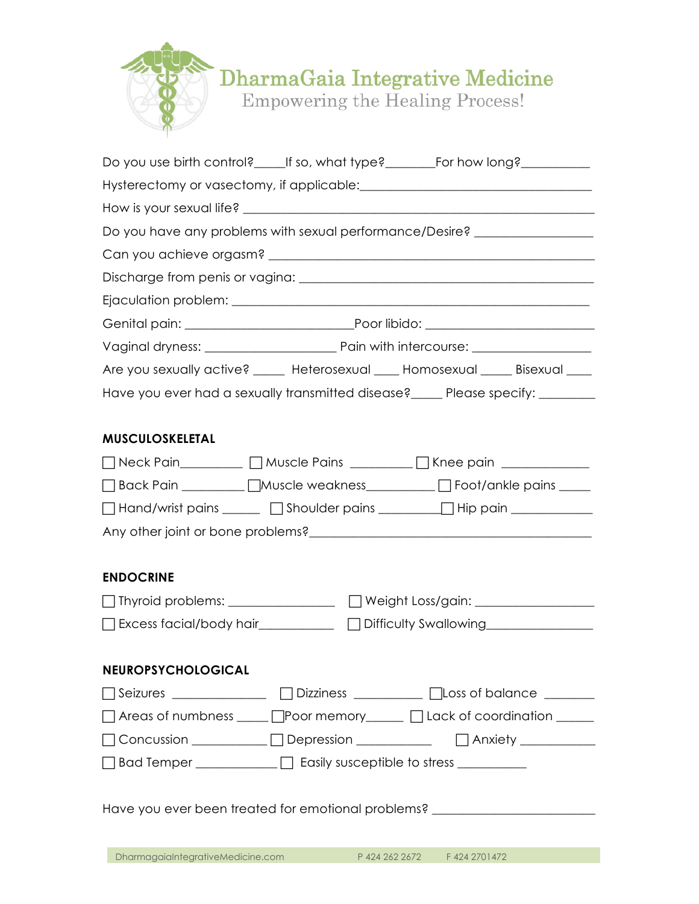

| Do you use birth control? Later of so, what type? Later Leon how long?           |
|----------------------------------------------------------------------------------|
|                                                                                  |
|                                                                                  |
| Do you have any problems with sexual performance/Desire? _______________________ |
|                                                                                  |
|                                                                                  |
|                                                                                  |
|                                                                                  |
|                                                                                  |
| Are you sexually active? _____ Heterosexual ____ Homosexual ____ Bisexual ____   |
| Have you ever had a sexually transmitted disease?____ Please specify: ________   |
|                                                                                  |
| <b>MUSCULOSKELETAL</b>                                                           |
| □ Neck Pain________ □ Muscle Pains _______ □ Knee pain __________                |
| □ Back Pain ________ □ Muscle weakness________ □ Foot/ankle pains ____           |
| □ Hand/wrist pains ______ □ Shoulder pains ________ □ Hip pain __________        |
|                                                                                  |
|                                                                                  |

#### **ENDOCRINE**

| $\Box$ Thyroid problems:       | $\Box$ Weight Loss/gain: |
|--------------------------------|--------------------------|
| $\Box$ Excess facial/body hair | □ Difficulty Swallowing  |

#### **NEUROPSYCHOLOGICAL**

| $\Box$ Seizures $\Box$   | Dizziness <b>Diagona</b>                   | $\Box$ Loss of balance $\Box$ |
|--------------------------|--------------------------------------------|-------------------------------|
|                          |                                            |                               |
| $\Box$ Concussion $\Box$ | $\Box$ Depression                          | Anxiety                       |
| $\Box$ Bad Temper        | $\Box$ Easily susceptible to stress $\Box$ |                               |

Have you ever been treated for emotional problems? \_\_\_\_\_\_\_\_\_\_\_\_\_\_\_\_\_\_\_\_\_\_\_\_\_\_\_\_\_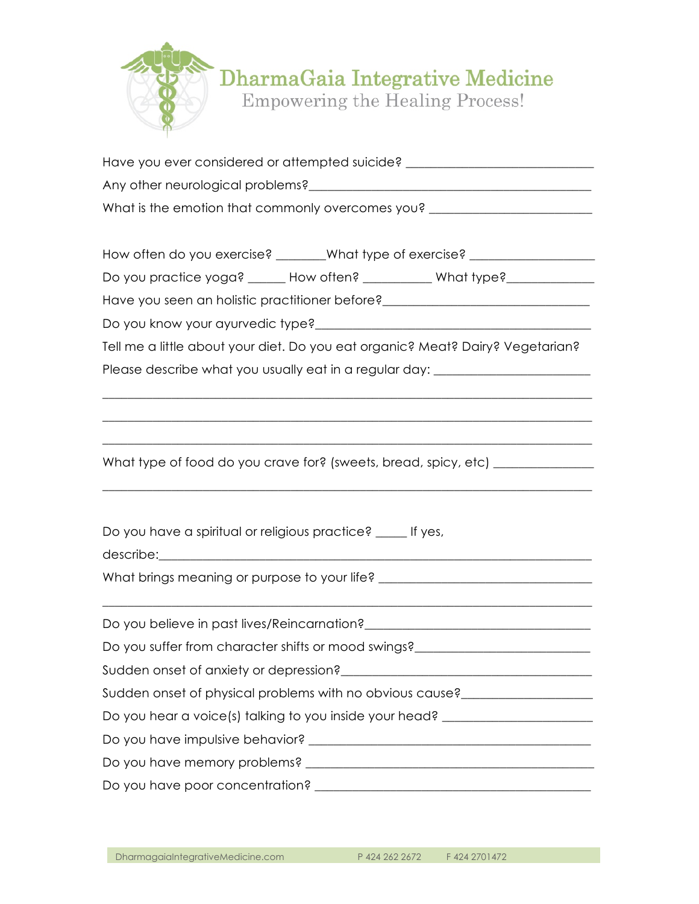

| Have you ever considered or attempted suicide? _________________________________ |  |  |  |
|----------------------------------------------------------------------------------|--|--|--|
|                                                                                  |  |  |  |
| What is the emotion that commonly overcomes you? _______________________________ |  |  |  |
|                                                                                  |  |  |  |
| How often do you exercise? _______What type of exercise? _______________________ |  |  |  |
| Do you practice yoga? ______ How often? ___________ What type? _________________ |  |  |  |
| Have you seen an holistic practitioner before?__________________________________ |  |  |  |
|                                                                                  |  |  |  |
| Tell me a little about your diet. Do you eat organic? Meat? Dairy? Vegetarian?   |  |  |  |
| Please describe what you usually eat in a regular day: _________________________ |  |  |  |
|                                                                                  |  |  |  |
|                                                                                  |  |  |  |
|                                                                                  |  |  |  |
| What type of food do you crave for? (sweets, bread, spicy, etc) ________________ |  |  |  |
|                                                                                  |  |  |  |
|                                                                                  |  |  |  |
| Do you have a spiritual or religious practice? ____ If yes,                      |  |  |  |
|                                                                                  |  |  |  |
| What brings meaning or purpose to your life? ___________________________________ |  |  |  |
|                                                                                  |  |  |  |
|                                                                                  |  |  |  |
| Do you suffer from character shifts or mood swings?_____________________________ |  |  |  |
|                                                                                  |  |  |  |
| Sudden onset of physical problems with no obvious cause?________________________ |  |  |  |
| Do you hear a voice(s) talking to you inside your head? ________________________ |  |  |  |
|                                                                                  |  |  |  |
|                                                                                  |  |  |  |
|                                                                                  |  |  |  |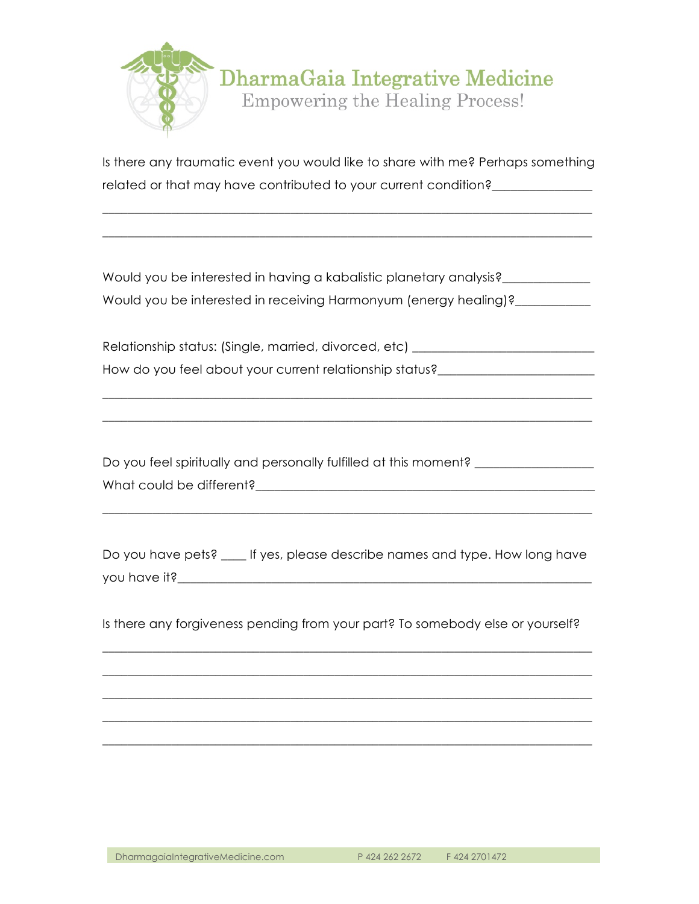

**DharmaGaia Integrative Medicine Empowering the Healing Process!** 

Is there any traumatic event you would like to share with me? Perhaps something related or that may have contributed to your current condition?

 $\_$  , and the set of the set of the set of the set of the set of the set of the set of the set of the set of the set of the set of the set of the set of the set of the set of the set of the set of the set of the set of th

\_\_\_\_\_\_\_\_\_\_\_\_\_\_\_\_\_\_\_\_\_\_\_\_\_\_\_\_\_\_\_\_\_\_\_\_\_\_\_\_\_\_\_\_\_\_\_\_\_\_\_\_\_\_\_\_\_\_\_\_\_\_\_\_\_\_\_\_\_\_\_\_\_\_\_\_\_\_

Would you be interested in having a kabalistic planetary analysis? Would you be interested in receiving Harmonyum (energy healing)?

Relationship status: (Single, married, divorced, etc) \_\_\_\_\_\_\_\_\_\_\_\_\_\_\_\_\_\_\_\_\_\_\_\_\_\_ How do you feel about your current relationship status?\_\_\_\_\_\_\_\_\_\_\_\_\_\_\_\_\_\_\_\_\_\_\_\_\_

 $\_$  , and the set of the set of the set of the set of the set of the set of the set of the set of the set of the set of the set of the set of the set of the set of the set of the set of the set of the set of the set of th

\_\_\_\_\_\_\_\_\_\_\_\_\_\_\_\_\_\_\_\_\_\_\_\_\_\_\_\_\_\_\_\_\_\_\_\_\_\_\_\_\_\_\_\_\_\_\_\_\_\_\_\_\_\_\_\_\_\_\_\_\_\_\_\_\_\_\_\_\_\_\_\_\_\_\_\_\_\_

Do you feel spiritually and personally fulfilled at this moment? \_\_\_\_\_\_\_\_\_\_\_\_\_\_\_ What could be different?\_\_\_\_\_\_\_\_\_\_\_\_\_\_\_\_\_\_\_\_\_\_\_\_\_\_\_\_\_\_\_\_\_\_\_\_\_\_\_\_\_\_\_\_\_\_\_\_\_\_\_\_\_\_

\_\_\_\_\_\_\_\_\_\_\_\_\_\_\_\_\_\_\_\_\_\_\_\_\_\_\_\_\_\_\_\_\_\_\_\_\_\_\_\_\_\_\_\_\_\_\_\_\_\_\_\_\_\_\_\_\_\_\_\_\_\_\_\_\_\_\_\_\_\_\_\_\_\_\_\_\_\_

Do you have pets? \_\_\_\_ If yes, please describe names and type. How long have you have it?\_\_\_\_\_\_\_\_\_\_\_\_\_\_\_\_\_\_\_\_\_\_\_\_\_\_\_\_\_\_\_\_\_\_\_\_\_\_\_\_\_\_\_\_\_\_\_\_\_\_\_\_\_\_\_\_\_\_\_\_\_\_\_\_\_\_

Is there any forgiveness pending from your part? To somebody else or yourself?

\_\_\_\_\_\_\_\_\_\_\_\_\_\_\_\_\_\_\_\_\_\_\_\_\_\_\_\_\_\_\_\_\_\_\_\_\_\_\_\_\_\_\_\_\_\_\_\_\_\_\_\_\_\_\_\_\_\_\_\_\_\_\_\_\_\_\_\_\_\_\_\_\_\_\_\_\_\_

\_\_\_\_\_\_\_\_\_\_\_\_\_\_\_\_\_\_\_\_\_\_\_\_**\_\_\_\_\_\_\_\_\_\_\_\_\_\_\_\_\_\_\_\_\_\_\_\_\_\_\_\_\_\_\_\_\_\_\_\_\_\_\_\_\_\_\_\_\_\_\_\_\_\_\_\_\_\_**

**\_\_\_\_\_\_\_\_\_\_\_\_\_\_\_\_\_\_\_\_\_\_\_\_\_\_\_\_\_\_\_\_\_\_\_\_\_\_\_\_\_\_\_\_\_\_\_\_\_\_\_\_\_\_\_\_\_\_\_\_\_\_\_\_\_\_\_\_\_\_\_\_\_\_\_\_\_\_**

**\_\_\_\_\_\_\_\_\_\_\_\_\_\_\_\_\_\_\_\_\_\_\_\_\_\_\_\_\_\_\_\_\_\_\_\_\_\_\_\_\_\_\_\_\_\_\_\_\_\_\_\_\_\_\_\_\_\_\_\_\_\_\_\_\_\_\_\_\_\_\_\_\_\_\_\_\_\_**

**\_\_\_\_\_\_\_\_\_\_\_\_\_\_\_\_\_\_\_\_\_\_\_\_\_\_\_\_\_\_\_\_\_\_\_\_\_\_\_\_\_\_\_\_\_\_\_\_\_\_\_\_\_\_\_\_\_\_\_\_\_\_\_\_\_\_\_\_\_\_\_\_\_\_\_\_\_\_**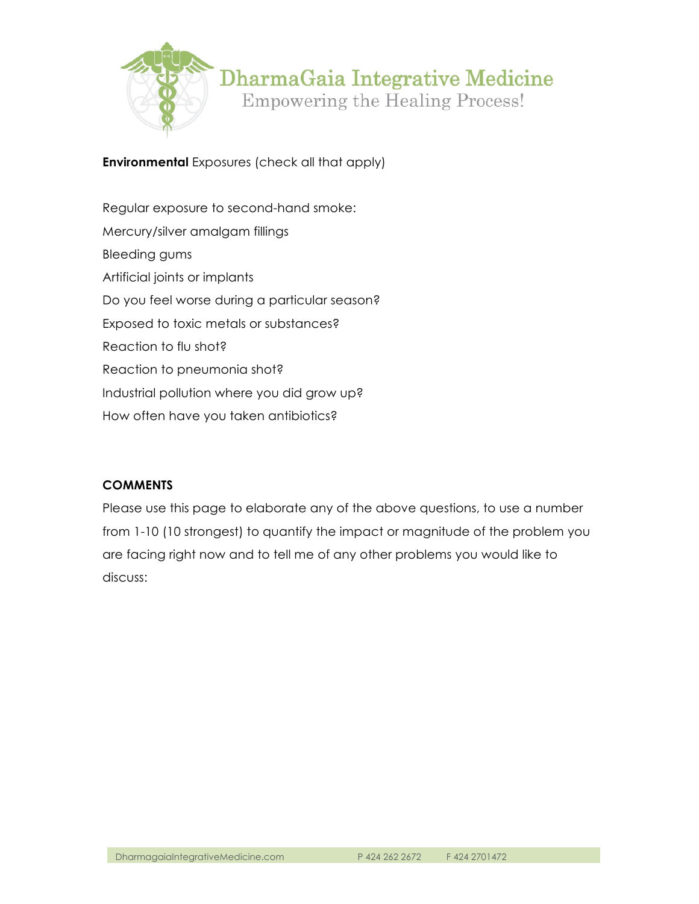

# **DharmaGaia Integrative Medicine**

**Empowering the Healing Process!** 

### **Environmental** Exposures (check all that apply)

Regular exposure to second-hand smoke: Mercury/silver amalgam fillings Bleeding gums Artificial joints or implants Do you feel worse during a particular season? Exposed to toxic metals or substances? Reaction to flu shot? Reaction to pneumonia shot? Industrial pollution where you did grow up? How often have you taken antibiotics?

#### **COMMENTS**

Please use this page to elaborate any of the above questions, to use a number from 1-10 (10 strongest) to quantify the impact or magnitude of the problem you are facing right now and to tell me of any other problems you would like to discuss: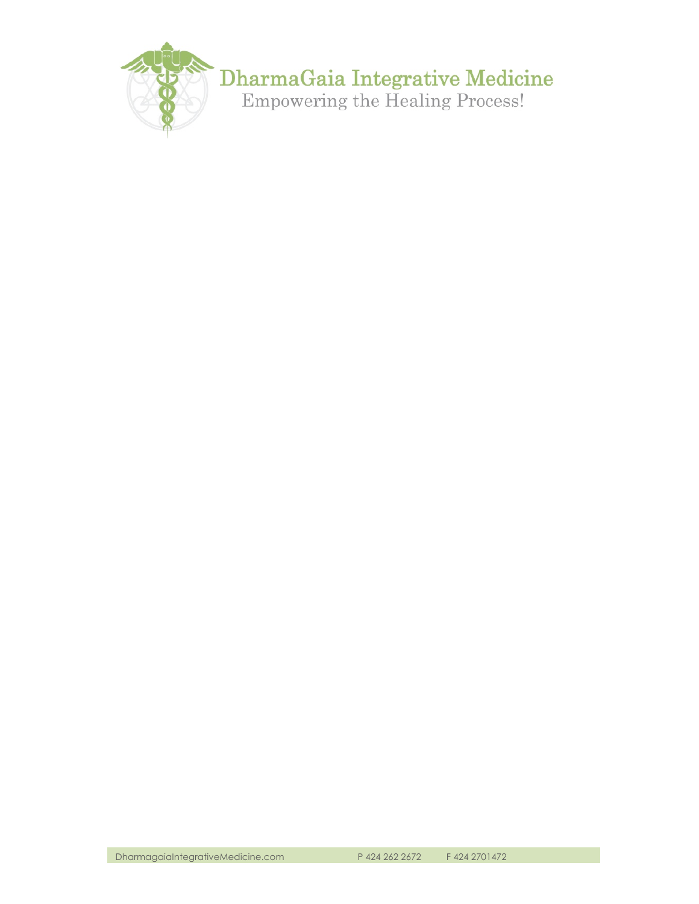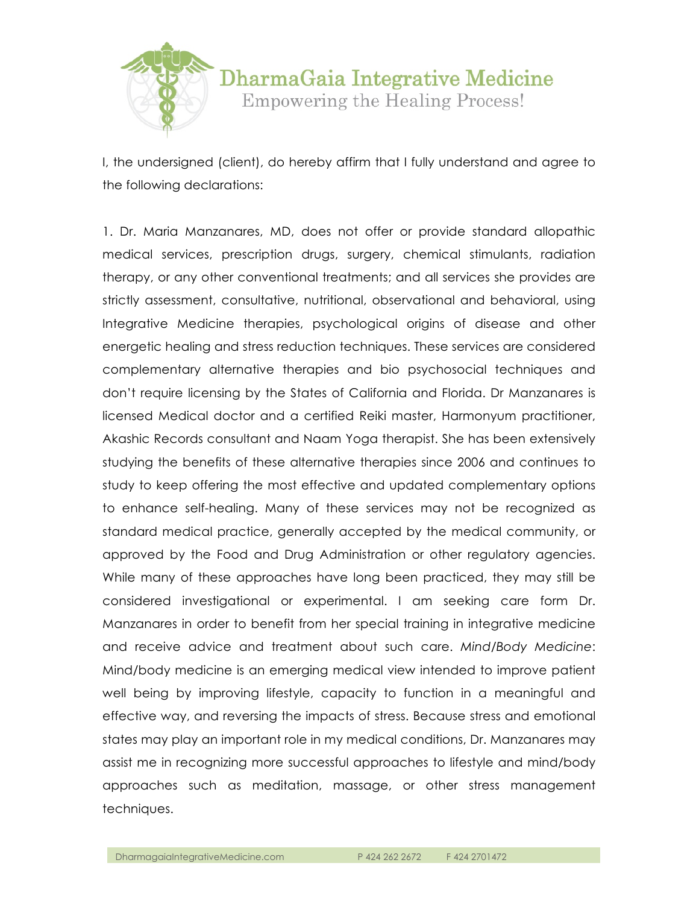

I, the undersigned (client), do hereby affirm that I fully understand and agree to the following declarations:

1. Dr. Maria Manzanares, MD, does not offer or provide standard allopathic medical services, prescription drugs, surgery, chemical stimulants, radiation therapy, or any other conventional treatments; and all services she provides are strictly assessment, consultative, nutritional, observational and behavioral, using Integrative Medicine therapies, psychological origins of disease and other energetic healing and stress reduction techniques. These services are considered complementary alternative therapies and bio psychosocial techniques and don't require licensing by the States of California and Florida. Dr Manzanares is licensed Medical doctor and a certified Reiki master, Harmonyum practitioner, Akashic Records consultant and Naam Yoga therapist. She has been extensively studying the benefits of these alternative therapies since 2006 and continues to study to keep offering the most effective and updated complementary options to enhance self-healing. Many of these services may not be recognized as standard medical practice, generally accepted by the medical community, or approved by the Food and Drug Administration or other regulatory agencies. While many of these approaches have long been practiced, they may still be considered investigational or experimental. I am seeking care form Dr. Manzanares in order to benefit from her special training in integrative medicine and receive advice and treatment about such care. *Mind/Body Medicine*: Mind/body medicine is an emerging medical view intended to improve patient well being by improving lifestyle, capacity to function in a meaningful and effective way, and reversing the impacts of stress. Because stress and emotional states may play an important role in my medical conditions, Dr. Manzanares may assist me in recognizing more successful approaches to lifestyle and mind/body approaches such as meditation, massage, or other stress management techniques.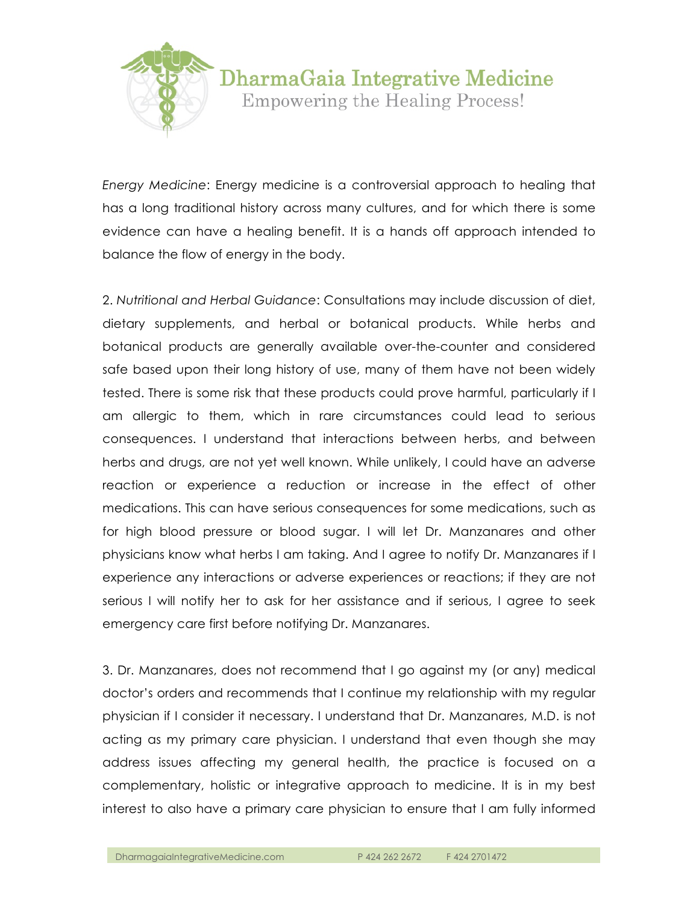

*Energy Medicine*: Energy medicine is a controversial approach to healing that has a long traditional history across many cultures, and for which there is some evidence can have a healing benefit. It is a hands off approach intended to balance the flow of energy in the body.

2. *Nutritional and Herbal Guidance*: Consultations may include discussion of diet, dietary supplements, and herbal or botanical products. While herbs and botanical products are generally available over-the-counter and considered safe based upon their long history of use, many of them have not been widely tested. There is some risk that these products could prove harmful, particularly if I am allergic to them, which in rare circumstances could lead to serious consequences. I understand that interactions between herbs, and between herbs and drugs, are not yet well known. While unlikely, I could have an adverse reaction or experience a reduction or increase in the effect of other medications. This can have serious consequences for some medications, such as for high blood pressure or blood sugar. I will let Dr. Manzanares and other physicians know what herbs I am taking. And I agree to notify Dr. Manzanares if I experience any interactions or adverse experiences or reactions; if they are not serious I will notify her to ask for her assistance and if serious, I agree to seek emergency care first before notifying Dr. Manzanares.

3. Dr. Manzanares, does not recommend that I go against my (or any) medical doctor's orders and recommends that I continue my relationship with my regular physician if I consider it necessary. I understand that Dr. Manzanares, M.D. is not acting as my primary care physician. I understand that even though she may address issues affecting my general health, the practice is focused on a complementary, holistic or integrative approach to medicine. It is in my best interest to also have a primary care physician to ensure that I am fully informed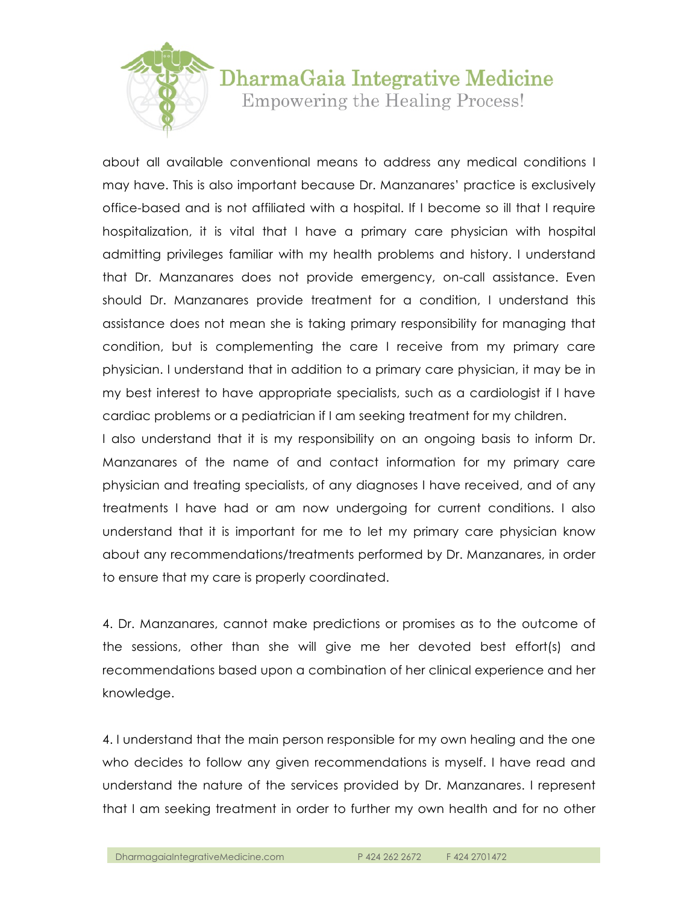

# **DharmaGaia Integrative Medicine Empowering the Healing Process!**

about all available conventional means to address any medical conditions I may have. This is also important because Dr. Manzanares' practice is exclusively office-based and is not affiliated with a hospital. If I become so ill that I require hospitalization, it is vital that I have a primary care physician with hospital admitting privileges familiar with my health problems and history. I understand that Dr. Manzanares does not provide emergency, on-call assistance. Even should Dr. Manzanares provide treatment for a condition, I understand this assistance does not mean she is taking primary responsibility for managing that condition, but is complementing the care I receive from my primary care physician. I understand that in addition to a primary care physician, it may be in my best interest to have appropriate specialists, such as a cardiologist if I have cardiac problems or a pediatrician if I am seeking treatment for my children.

I also understand that it is my responsibility on an ongoing basis to inform Dr. Manzanares of the name of and contact information for my primary care physician and treating specialists, of any diagnoses I have received, and of any treatments I have had or am now undergoing for current conditions. I also understand that it is important for me to let my primary care physician know about any recommendations/treatments performed by Dr. Manzanares, in order to ensure that my care is properly coordinated.

4. Dr. Manzanares, cannot make predictions or promises as to the outcome of the sessions, other than she will give me her devoted best effort(s) and recommendations based upon a combination of her clinical experience and her knowledge.

4. I understand that the main person responsible for my own healing and the one who decides to follow any given recommendations is myself. I have read and understand the nature of the services provided by Dr. Manzanares. I represent that I am seeking treatment in order to further my own health and for no other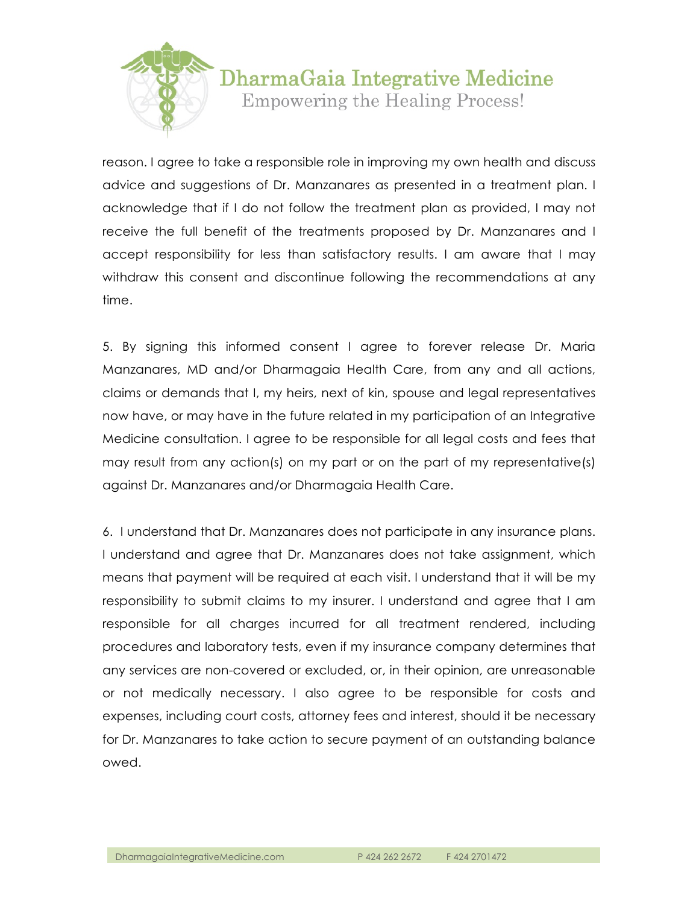

## **DharmaGaia Integrative Medicine Empowering the Healing Process!**

reason. I agree to take a responsible role in improving my own health and discuss advice and suggestions of Dr. Manzanares as presented in a treatment plan. I acknowledge that if I do not follow the treatment plan as provided, I may not receive the full benefit of the treatments proposed by Dr. Manzanares and I accept responsibility for less than satisfactory results. I am aware that I may withdraw this consent and discontinue following the recommendations at any time.

5. By signing this informed consent I agree to forever release Dr. Maria Manzanares, MD and/or Dharmagaia Health Care, from any and all actions, claims or demands that I, my heirs, next of kin, spouse and legal representatives now have, or may have in the future related in my participation of an Integrative Medicine consultation. I agree to be responsible for all legal costs and fees that may result from any action(s) on my part or on the part of my representative(s) against Dr. Manzanares and/or Dharmagaia Health Care.

6. I understand that Dr. Manzanares does not participate in any insurance plans. I understand and agree that Dr. Manzanares does not take assignment, which means that payment will be required at each visit. I understand that it will be my responsibility to submit claims to my insurer. I understand and agree that I am responsible for all charges incurred for all treatment rendered, including procedures and laboratory tests, even if my insurance company determines that any services are non-covered or excluded, or, in their opinion, are unreasonable or not medically necessary. I also agree to be responsible for costs and expenses, including court costs, attorney fees and interest, should it be necessary for Dr. Manzanares to take action to secure payment of an outstanding balance owed.